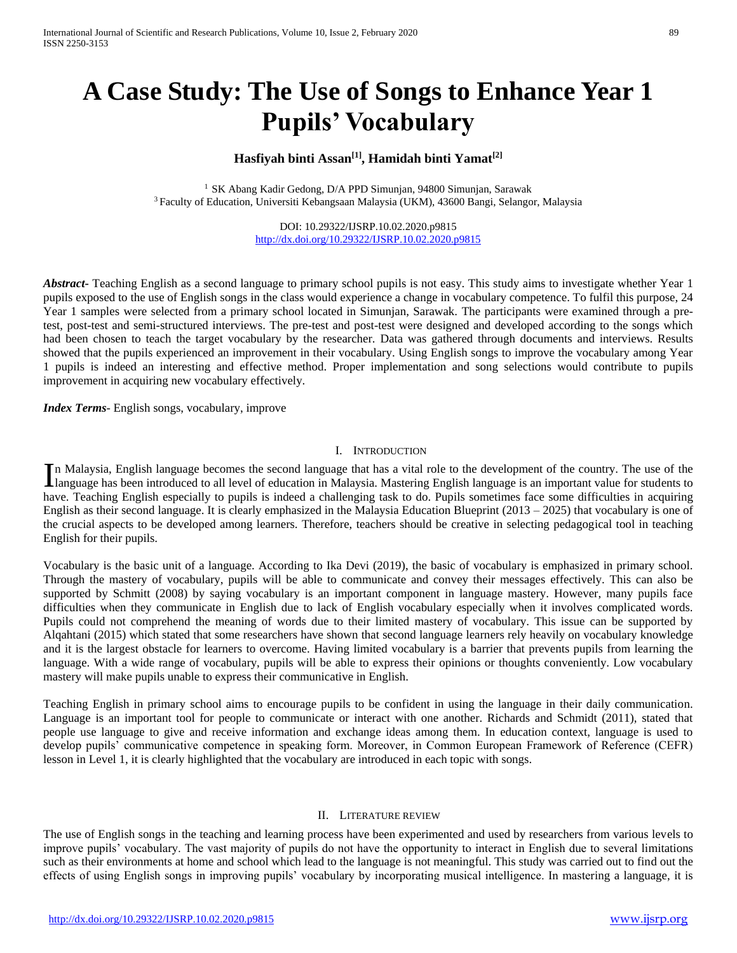# **A Case Study: The Use of Songs to Enhance Year 1 Pupils' Vocabulary**

# **Hasfiyah binti Assan[1] , Hamidah binti Yamat[2]**

<sup>1</sup> SK Abang Kadir Gedong, D/A PPD Simunjan, 94800 Simunjan, Sarawak <sup>3</sup>Faculty of Education, Universiti Kebangsaan Malaysia (UKM), 43600 Bangi, Selangor, Malaysia

> DOI: 10.29322/IJSRP.10.02.2020.p9815 <http://dx.doi.org/10.29322/IJSRP.10.02.2020.p9815>

*Abstract***-** Teaching English as a second language to primary school pupils is not easy. This study aims to investigate whether Year 1 pupils exposed to the use of English songs in the class would experience a change in vocabulary competence. To fulfil this purpose, 24 Year 1 samples were selected from a primary school located in Simunjan, Sarawak. The participants were examined through a pretest, post-test and semi-structured interviews. The pre-test and post-test were designed and developed according to the songs which had been chosen to teach the target vocabulary by the researcher. Data was gathered through documents and interviews. Results showed that the pupils experienced an improvement in their vocabulary. Using English songs to improve the vocabulary among Year 1 pupils is indeed an interesting and effective method. Proper implementation and song selections would contribute to pupils improvement in acquiring new vocabulary effectively.

*Index Terms*- English songs, vocabulary, improve

#### I. INTRODUCTION

n Malaysia, English language becomes the second language that has a vital role to the development of the country. The use of the In Malaysia, English language becomes the second language that has a vital role to the development of the country. The use of the language has been introduced to all level of education in Malaysia. Mastering English langua have. Teaching English especially to pupils is indeed a challenging task to do. Pupils sometimes face some difficulties in acquiring English as their second language. It is clearly emphasized in the Malaysia Education Blueprint (2013 – 2025) that vocabulary is one of the crucial aspects to be developed among learners. Therefore, teachers should be creative in selecting pedagogical tool in teaching English for their pupils.

Vocabulary is the basic unit of a language. According to Ika Devi (2019), the basic of vocabulary is emphasized in primary school. Through the mastery of vocabulary, pupils will be able to communicate and convey their messages effectively. This can also be supported by Schmitt (2008) by saying vocabulary is an important component in language mastery. However, many pupils face difficulties when they communicate in English due to lack of English vocabulary especially when it involves complicated words. Pupils could not comprehend the meaning of words due to their limited mastery of vocabulary. This issue can be supported by Alqahtani (2015) which stated that some researchers have shown that second language learners rely heavily on vocabulary knowledge and it is the largest obstacle for learners to overcome. Having limited vocabulary is a barrier that prevents pupils from learning the language. With a wide range of vocabulary, pupils will be able to express their opinions or thoughts conveniently. Low vocabulary mastery will make pupils unable to express their communicative in English.

Teaching English in primary school aims to encourage pupils to be confident in using the language in their daily communication. Language is an important tool for people to communicate or interact with one another. Richards and Schmidt (2011), stated that people use language to give and receive information and exchange ideas among them. In education context, language is used to develop pupils' communicative competence in speaking form. Moreover, in Common European Framework of Reference (CEFR) lesson in Level 1, it is clearly highlighted that the vocabulary are introduced in each topic with songs.

#### II. LITERATURE REVIEW

The use of English songs in the teaching and learning process have been experimented and used by researchers from various levels to improve pupils' vocabulary. The vast majority of pupils do not have the opportunity to interact in English due to several limitations such as their environments at home and school which lead to the language is not meaningful. This study was carried out to find out the effects of using English songs in improving pupils' vocabulary by incorporating musical intelligence. In mastering a language, it is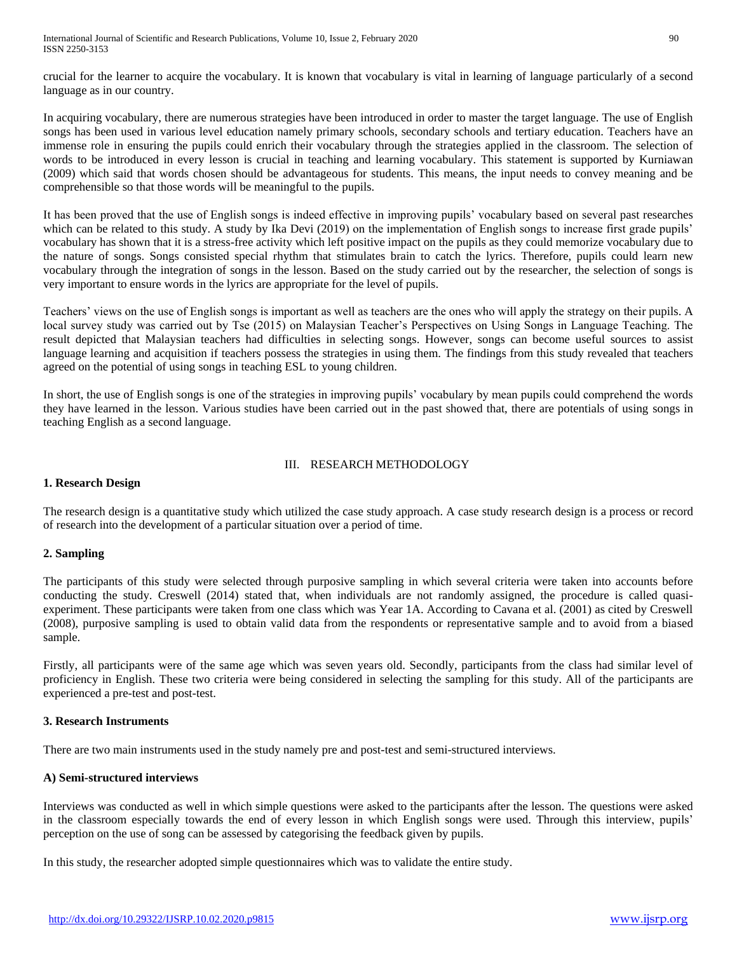crucial for the learner to acquire the vocabulary. It is known that vocabulary is vital in learning of language particularly of a second language as in our country.

In acquiring vocabulary, there are numerous strategies have been introduced in order to master the target language. The use of English songs has been used in various level education namely primary schools, secondary schools and tertiary education. Teachers have an immense role in ensuring the pupils could enrich their vocabulary through the strategies applied in the classroom. The selection of words to be introduced in every lesson is crucial in teaching and learning vocabulary. This statement is supported by Kurniawan (2009) which said that words chosen should be advantageous for students. This means, the input needs to convey meaning and be comprehensible so that those words will be meaningful to the pupils.

It has been proved that the use of English songs is indeed effective in improving pupils' vocabulary based on several past researches which can be related to this study. A study by Ika Devi (2019) on the implementation of English songs to increase first grade pupils' vocabulary has shown that it is a stress-free activity which left positive impact on the pupils as they could memorize vocabulary due to the nature of songs. Songs consisted special rhythm that stimulates brain to catch the lyrics. Therefore, pupils could learn new vocabulary through the integration of songs in the lesson. Based on the study carried out by the researcher, the selection of songs is very important to ensure words in the lyrics are appropriate for the level of pupils.

Teachers' views on the use of English songs is important as well as teachers are the ones who will apply the strategy on their pupils. A local survey study was carried out by Tse (2015) on Malaysian Teacher's Perspectives on Using Songs in Language Teaching. The result depicted that Malaysian teachers had difficulties in selecting songs. However, songs can become useful sources to assist language learning and acquisition if teachers possess the strategies in using them. The findings from this study revealed that teachers agreed on the potential of using songs in teaching ESL to young children.

In short, the use of English songs is one of the strategies in improving pupils' vocabulary by mean pupils could comprehend the words they have learned in the lesson. Various studies have been carried out in the past showed that, there are potentials of using songs in teaching English as a second language.

## III. RESEARCH METHODOLOGY

# **1. Research Design**

The research design is a quantitative study which utilized the case study approach. A case study research design is a process or record of research into the development of a particular situation over a period of time.

# **2. Sampling**

The participants of this study were selected through purposive sampling in which several criteria were taken into accounts before conducting the study. Creswell (2014) stated that, when individuals are not randomly assigned, the procedure is called quasiexperiment. These participants were taken from one class which was Year 1A. According to Cavana et al. (2001) as cited by Creswell (2008), purposive sampling is used to obtain valid data from the respondents or representative sample and to avoid from a biased sample.

Firstly, all participants were of the same age which was seven years old. Secondly, participants from the class had similar level of proficiency in English. These two criteria were being considered in selecting the sampling for this study. All of the participants are experienced a pre-test and post-test.

# **3. Research Instruments**

There are two main instruments used in the study namely pre and post-test and semi-structured interviews.

# **A) Semi-structured interviews**

Interviews was conducted as well in which simple questions were asked to the participants after the lesson. The questions were asked in the classroom especially towards the end of every lesson in which English songs were used. Through this interview, pupils' perception on the use of song can be assessed by categorising the feedback given by pupils.

In this study, the researcher adopted simple questionnaires which was to validate the entire study.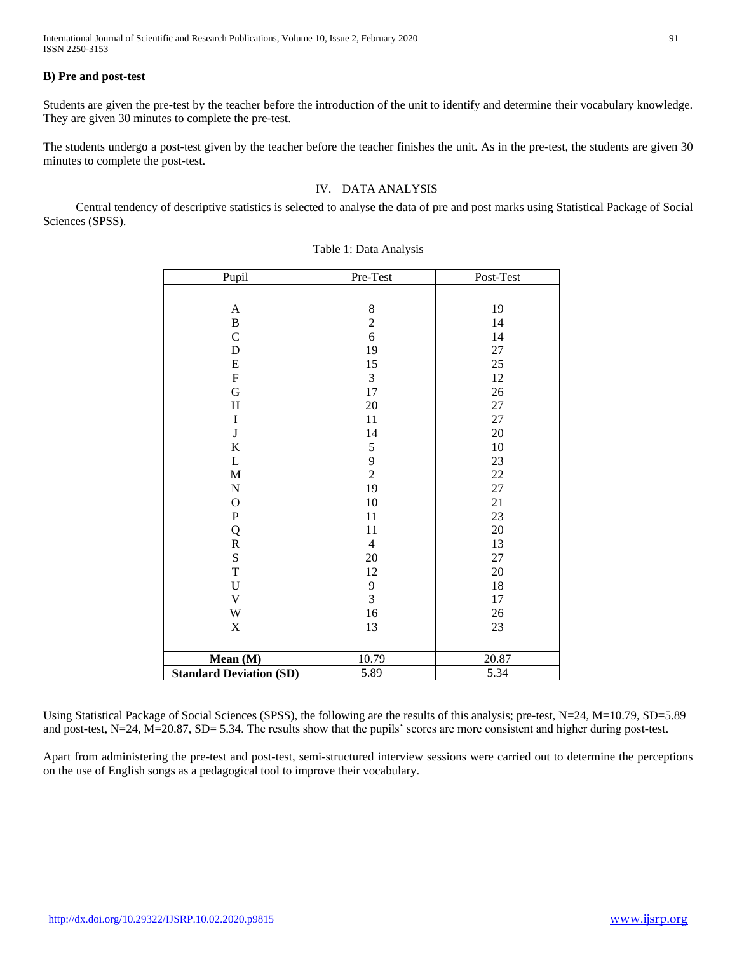International Journal of Scientific and Research Publications, Volume 10, Issue 2, February 2020 91 ISSN 2250-3153

#### **B) Pre and post-test**

Students are given the pre-test by the teacher before the introduction of the unit to identify and determine their vocabulary knowledge. They are given 30 minutes to complete the pre-test.

The students undergo a post-test given by the teacher before the teacher finishes the unit. As in the pre-test, the students are given 30 minutes to complete the post-test.

## IV. DATA ANALYSIS

Central tendency of descriptive statistics is selected to analyse the data of pre and post marks using Statistical Package of Social Sciences (SPSS).

| Pupil                          | Pre-Test       | Post-Test |
|--------------------------------|----------------|-----------|
|                                |                |           |
| $\mathbf A$                    | $8\,$          | 19        |
| $\bf{B}$                       | $\overline{2}$ | 14        |
| $\mathbf C$                    | 6              | 14        |
| D                              | 19             | 27        |
| ${\bf E}$                      | 15             | $25\,$    |
| ${\bf F}$                      | $\mathfrak{Z}$ | 12        |
| G                              | 17             | $26\,$    |
| $\boldsymbol{\mathrm{H}}$      | $20\,$         | 27        |
| $\rm I$                        | 11             | 27        |
| $\bf J$                        | 14             | 20        |
| $\bf K$                        | 5              | 10        |
| L                              | 9              | 23        |
| $\mathbf M$                    | $\overline{c}$ | $22\,$    |
| ${\bf N}$                      | 19             | 27        |
| $\mathcal{O}$                  | $10\,$         | 21        |
| ${\bf P}$                      | 11             | 23        |
| Q                              | 11             | 20        |
| ${\bf R}$                      | $\overline{4}$ | 13        |
| $\mathbf S$                    | $20\,$         | 27        |
| $\mathbf T$                    | 12             | 20        |
| $\mathbf U$                    | 9              | 18        |
| $\mathbf V$                    | $\overline{3}$ | 17        |
| W                              | 16             | 26        |
| $\mathbf X$                    | 13             | 23        |
|                                |                |           |
| Mean (M)                       | 10.79          | 20.87     |
| <b>Standard Deviation (SD)</b> | 5.89           | 5.34      |

#### Table 1: Data Analysis

Using Statistical Package of Social Sciences (SPSS), the following are the results of this analysis; pre-test, N=24, M=10.79, SD=5.89 and post-test, N=24, M=20.87, SD= 5.34. The results show that the pupils' scores are more consistent and higher during post-test.

Apart from administering the pre-test and post-test, semi-structured interview sessions were carried out to determine the perceptions on the use of English songs as a pedagogical tool to improve their vocabulary.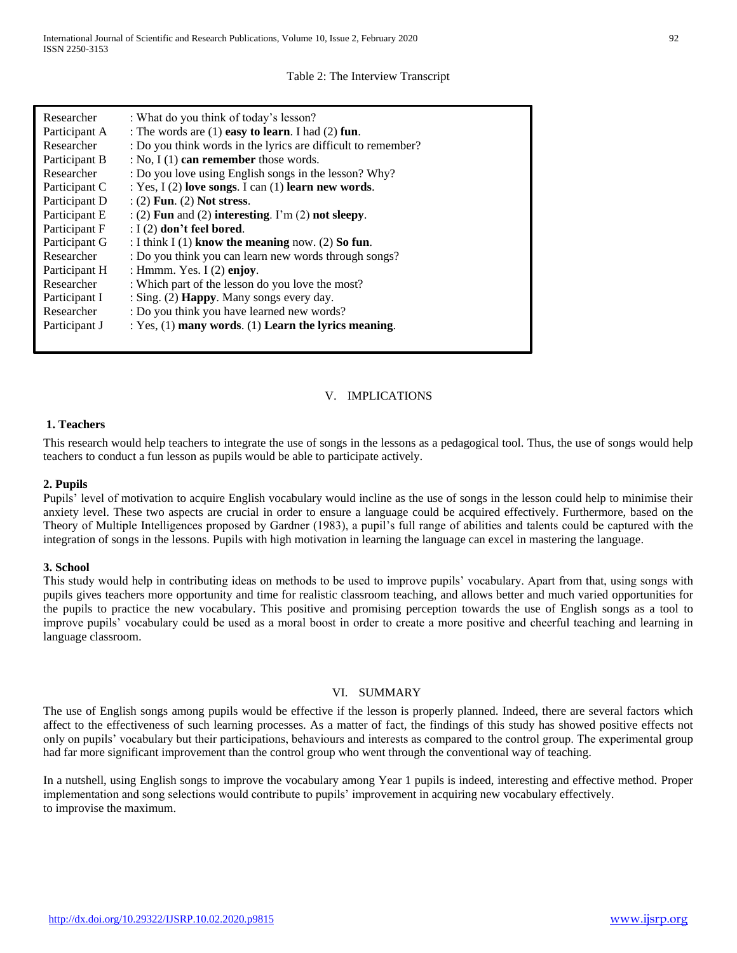### Table 2: The Interview Transcript

| Researcher    | : What do you think of today's lesson?                        |
|---------------|---------------------------------------------------------------|
| Participant A | : The words are $(1)$ easy to learn. I had $(2)$ fun.         |
| Researcher    | : Do you think words in the lyrics are difficult to remember? |
| Participant B | : No, $I(1)$ can remember those words.                        |
| Researcher    | : Do you love using English songs in the lesson? Why?         |
| Participant C | : Yes, $I(2)$ love songs. I can $(1)$ learn new words.        |
| Participant D | $(2)$ Fun. (2) Not stress.                                    |
| Participant E | $:(2)$ Fun and (2) interesting. I'm (2) not sleepy.           |
| Participant F | $: I(2)$ don't feel bored.                                    |
| Participant G | : I think I (1) know the meaning now. (2) So fun.             |
| Researcher    | : Do you think you can learn new words through songs?         |
| Participant H | : Hmmm. Yes. I $(2)$ enjoy.                                   |
| Researcher    | : Which part of the lesson do you love the most?              |
|               |                                                               |
| Participant I | : Sing. (2) Happy. Many songs every day.                      |
| Researcher    | : Do you think you have learned new words?                    |
| Participant J | : $Yes, (1)$ many words. (1) Learn the lyrics meaning.        |
|               |                                                               |

## V. IMPLICATIONS

#### **1. Teachers**

This research would help teachers to integrate the use of songs in the lessons as a pedagogical tool. Thus, the use of songs would help teachers to conduct a fun lesson as pupils would be able to participate actively.

## **2. Pupils**

Pupils' level of motivation to acquire English vocabulary would incline as the use of songs in the lesson could help to minimise their anxiety level. These two aspects are crucial in order to ensure a language could be acquired effectively. Furthermore, based on the Theory of Multiple Intelligences proposed by Gardner (1983), a pupil's full range of abilities and talents could be captured with the integration of songs in the lessons. Pupils with high motivation in learning the language can excel in mastering the language.

#### **3. School**

This study would help in contributing ideas on methods to be used to improve pupils' vocabulary. Apart from that, using songs with pupils gives teachers more opportunity and time for realistic classroom teaching, and allows better and much varied opportunities for the pupils to practice the new vocabulary. This positive and promising perception towards the use of English songs as a tool to improve pupils' vocabulary could be used as a moral boost in order to create a more positive and cheerful teaching and learning in language classroom.

#### VI. SUMMARY

The use of English songs among pupils would be effective if the lesson is properly planned. Indeed, there are several factors which affect to the effectiveness of such learning processes. As a matter of fact, the findings of this study has showed positive effects not only on pupils' vocabulary but their participations, behaviours and interests as compared to the control group. The experimental group had far more significant improvement than the control group who went through the conventional way of teaching.

In a nutshell, using English songs to improve the vocabulary among Year 1 pupils is indeed, interesting and effective method. Proper implementation and song selections would contribute to pupils' improvement in acquiring new vocabulary effectively. to improvise the maximum.